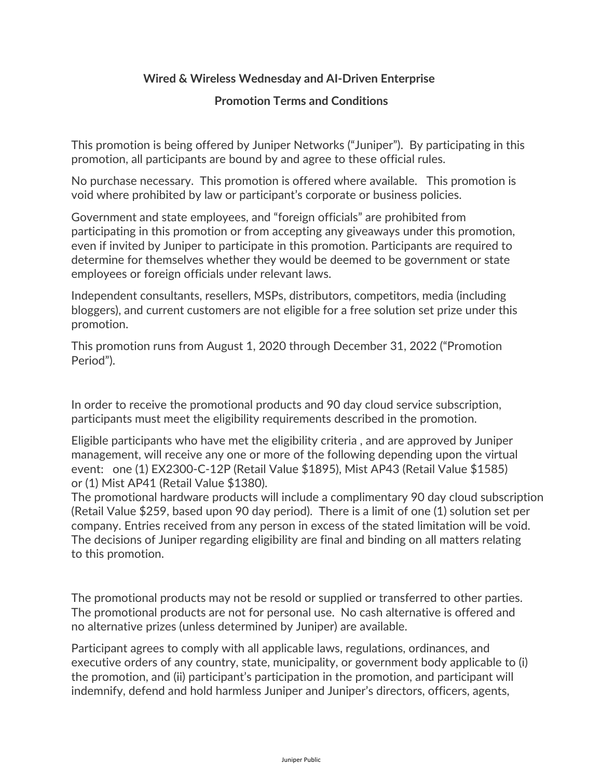## **Wired & Wireless Wednesday and AI-Driven Enterprise**

## **Promotion Terms and Conditions**

This promotion is being offered by Juniper Networks ("Juniper"). By participating in this promotion, all participants are bound by and agree to these official rules.

No purchase necessary. This promotion is offered where available. This promotion is void where prohibited by law or participant's corporate or business policies.

Government and state employees, and "foreign officials" are prohibited from participating in this promotion or from accepting any giveaways under this promotion, even if invited by Juniper to participate in this promotion. Participants are required to determine for themselves whether they would be deemed to be government or state employees or foreign officials under relevant laws.

Independent consultants, resellers, MSPs, distributors, competitors, media (including bloggers), and current customers are not eligible for a free solution set prize under this promotion.

This promotion runs from August 1, 2020 through December 31, 2022 ("Promotion Period").

In order to receive the promotional products and 90 day cloud service subscription, participants must meet the eligibility requirements described in the promotion.

Eligible participants who have met the eligibility criteria , and are approved by Juniper management, will receive any one or more of the following depending upon the virtual event: one (1) EX2300-C-12P (Retail Value \$1895), Mist AP43 (Retail Value \$1585) or (1) Mist AP41 (Retail Value \$1380).

The promotional hardware products will include a complimentary 90 day cloud subscription (Retail Value \$259, based upon 90 day period). There is a limit of one (1) solution set per company. Entries received from any person in excess of the stated limitation will be void. The decisions of Juniper regarding eligibility are final and binding on all matters relating to this promotion.

The promotional products may not be resold or supplied or transferred to other parties. The promotional products are not for personal use. No cash alternative is offered and no alternative prizes (unless determined by Juniper) are available.

Participant agrees to comply with all applicable laws, regulations, ordinances, and executive orders of any country, state, municipality, or government body applicable to (i) the promotion, and (ii) participant's participation in the promotion, and participant will indemnify, defend and hold harmless Juniper and Juniper's directors, officers, agents,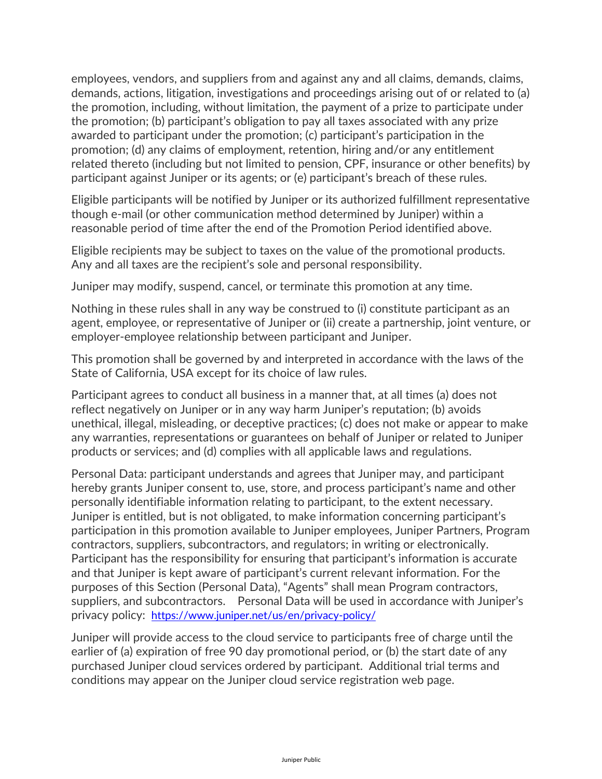employees, vendors, and suppliers from and against any and all claims, demands, claims, demands, actions, litigation, investigations and proceedings arising out of or related to (a) the promotion, including, without limitation, the payment of a prize to participate under the promotion; (b) participant's obligation to pay all taxes associated with any prize awarded to participant under the promotion; (c) participant's participation in the promotion; (d) any claims of employment, retention, hiring and/or any entitlement related thereto (including but not limited to pension, CPF, insurance or other benefits) by participant against Juniper or its agents; or (e) participant's breach of these rules.

Eligible participants will be notified by Juniper or its authorized fulfillment representative though e-mail (or other communication method determined by Juniper) within a reasonable period of time after the end of the Promotion Period identified above.

Eligible recipients may be subject to taxes on the value of the promotional products. Any and all taxes are the recipient's sole and personal responsibility.

Juniper may modify, suspend, cancel, or terminate this promotion at any time.

Nothing in these rules shall in any way be construed to (i) constitute participant as an agent, employee, or representative of Juniper or (ii) create a partnership, joint venture, or employer-employee relationship between participant and Juniper.

This promotion shall be governed by and interpreted in accordance with the laws of the State of California, USA except for its choice of law rules.

Participant agrees to conduct all business in a manner that, at all times (a) does not reflect negatively on Juniper or in any way harm Juniper's reputation; (b) avoids unethical, illegal, misleading, or deceptive practices; (c) does not make or appear to make any warranties, representations or guarantees on behalf of Juniper or related to Juniper products or services; and (d) complies with all applicable laws and regulations.

Personal Data: participant understands and agrees that Juniper may, and participant hereby grants Juniper consent to, use, store, and process participant's name and other personally identifiable information relating to participant, to the extent necessary. Juniper is entitled, but is not obligated, to make information concerning participant's participation in this promotion available to Juniper employees, Juniper Partners, Program contractors, suppliers, subcontractors, and regulators; in writing or electronically. Participant has the responsibility for ensuring that participant's information is accurate and that Juniper is kept aware of participant's current relevant information. For the purposes of this Section (Personal Data), "Agents" shall mean Program contractors, suppliers, and subcontractors. Personal Data will be used in accordance with Juniper's privacy policy: https://www.juniper.net/us/en/privacy-policy/

Juniper will provide access to the cloud service to participants free of charge until the earlier of (a) expiration of free 90 day promotional period, or (b) the start date of any purchased Juniper cloud services ordered by participant. Additional trial terms and conditions may appear on the Juniper cloud service registration web page.